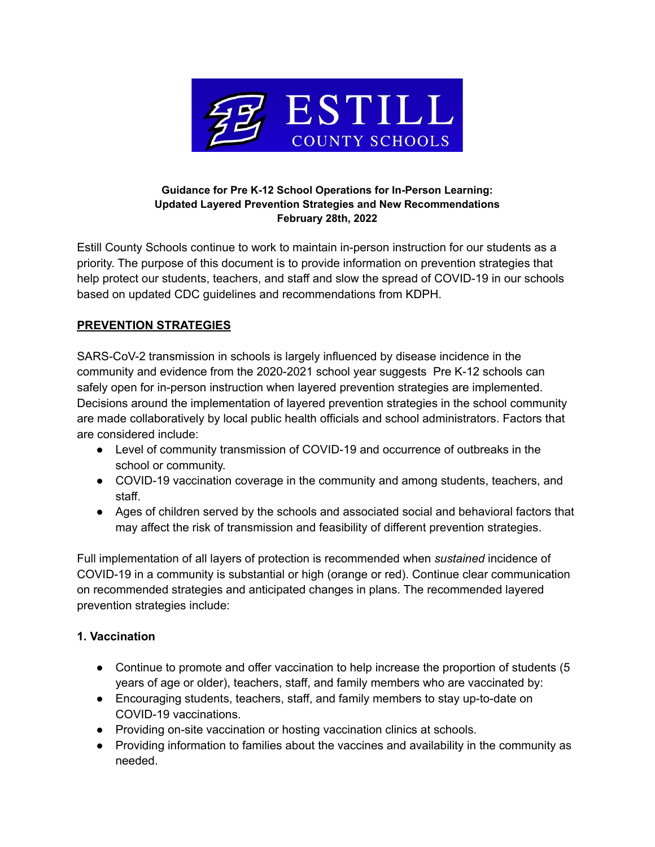

#### **Guidance for Pre K-12 School Operations for In-Person Learning: Updated Layered Prevention Strategies and New Recommendations February 28th, 2022**

Estill County Schools continue to work to maintain in-person instruction for our students as a priority. The purpose of this document is to provide information on prevention strategies that help protect our students, teachers, and staff and slow the spread of COVID-19 in our schools based on updated CDC guidelines and recommendations from KDPH.

# **PREVENTION STRATEGIES**

SARS-CoV-2 transmission in schools is largely influenced by disease incidence in the community and evidence from the 2020-2021 school year suggests Pre K-12 schools can safely open for in-person instruction when layered prevention strategies are implemented. Decisions around the implementation of layered prevention strategies in the school community are made collaboratively by local public health officials and school administrators. Factors that are considered include:

- Level of community transmission of COVID-19 and occurrence of outbreaks in the school or community.
- COVID-19 vaccination coverage in the community and among students, teachers, and staff.
- Ages of children served by the schools and associated social and behavioral factors that may affect the risk of transmission and feasibility of different prevention strategies.

Full implementation of all layers of protection is recommended when *sustained* incidence of COVID-19 in a community is substantial or high (orange or red). Continue clear communication on recommended strategies and anticipated changes in plans. The recommended layered prevention strategies include:

## **1. Vaccination**

- Continue to promote and offer vaccination to help increase the proportion of students (5) years of age or older), teachers, staff, and family members who are vaccinated by:
- Encouraging students, teachers, staff, and family members to stay up-to-date on COVID-19 vaccinations.
- Providing on-site vaccination or hosting vaccination clinics at schools.
- Providing information to families about the vaccines and availability in the community as needed.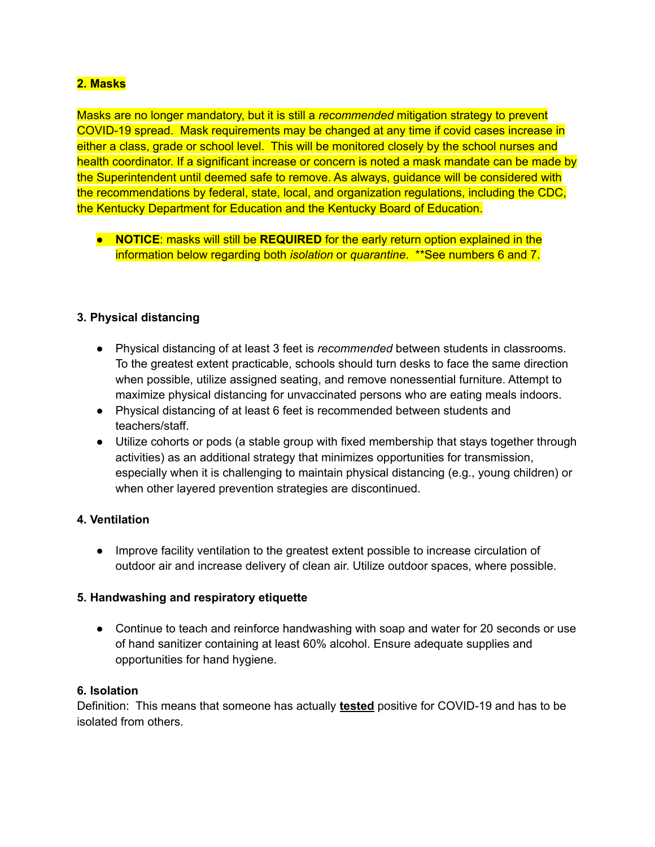## **2. Masks**

Masks are no longer mandatory, but it is still a *recommended* mitigation strategy to prevent COVID-19 spread. Mask requirements may be changed at any time if covid cases increase in either a class, grade or school level. This will be monitored closely by the school nurses and health coordinator. If a significant increase or concern is noted a mask mandate can be made by the Superintendent until deemed safe to remove. As always, guidance will be considered with the recommendations by federal, state, local, and organization regulations, including the CDC, the Kentucky Department for Education and the Kentucky Board of Education.

● **NOTICE**: masks will still be **REQUIRED** for the early return option explained in the information below regarding both *isolation* or *quarantine*. \*\*See numbers 6 and 7.

#### **3. Physical distancing**

- Physical distancing of at least 3 feet is *recommended* between students in classrooms. To the greatest extent practicable, schools should turn desks to face the same direction when possible, utilize assigned seating, and remove nonessential furniture. Attempt to maximize physical distancing for unvaccinated persons who are eating meals indoors.
- Physical distancing of at least 6 feet is recommended between students and teachers/staff.
- Utilize cohorts or pods (a stable group with fixed membership that stays together through activities) as an additional strategy that minimizes opportunities for transmission, especially when it is challenging to maintain physical distancing (e.g., young children) or when other layered prevention strategies are discontinued.

#### **4. Ventilation**

● Improve facility ventilation to the greatest extent possible to increase circulation of outdoor air and increase delivery of clean air. Utilize outdoor spaces, where possible.

### **5. Handwashing and respiratory etiquette**

• Continue to teach and reinforce handwashing with soap and water for 20 seconds or use of hand sanitizer containing at least 60% alcohol. Ensure adequate supplies and opportunities for hand hygiene.

#### **6. Isolation**

Definition: This means that someone has actually **tested** positive for COVID-19 and has to be isolated from others.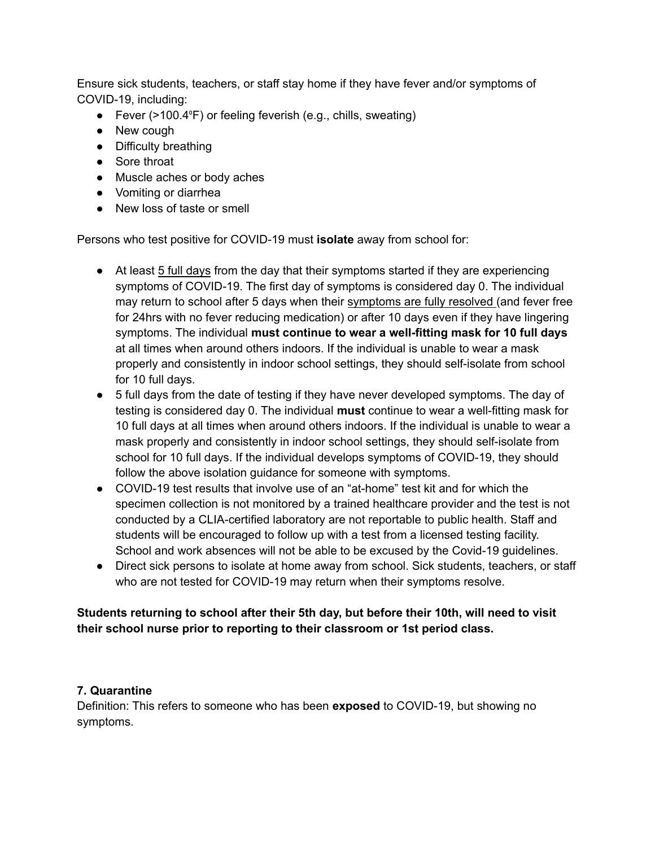Ensure sick students, teachers, or staff stay home if they have fever and/or symptoms of COVID-19, including:

- Fever (>100.4°F) or feeling feverish (e.g., chills, sweating)
- New cough
- Difficulty breathing
- Sore throat
- Muscle aches or body aches
- Vomiting or diarrhea
- New loss of taste or smell

Persons who test positive for COVID-19 must **isolate** away from school for:

- At least 5 full days from the day that their symptoms started if they are experiencing symptoms of COVID-19. The first day of symptoms is considered day 0. The individual may return to school after 5 days when their symptoms are fully resolved (and fever free for 24hrs with no fever reducing medication) or after 10 days even if they have lingering symptoms. The individual **must continue to wear a well-fitting mask for 10 full days** at all times when around others indoors. If the individual is unable to wear a mask properly and consistently in indoor school settings, they should self-isolate from school for 10 full days.
- 5 full days from the date of testing if they have never developed symptoms. The day of testing is considered day 0. The individual **must** continue to wear a well-fitting mask for 10 full days at all times when around others indoors. If the individual is unable to wear a mask properly and consistently in indoor school settings, they should self-isolate from school for 10 full days. If the individual develops symptoms of COVID-19, they should follow the above isolation guidance for someone with symptoms.
- COVID-19 test results that involve use of an "at-home" test kit and for which the specimen collection is not monitored by a trained healthcare provider and the test is not conducted by a CLIA-certified laboratory are not reportable to public health. Staff and students will be encouraged to follow up with a test from a licensed testing facility. School and work absences will not be able to be excused by the Covid-19 guidelines.
- Direct sick persons to isolate at home away from school. Sick students, teachers, or staff who are not tested for COVID-19 may return when their symptoms resolve.

## **Students returning to school after their 5th day, but before their 10th, will need to visit their school nurse prior to reporting to their classroom or 1st period class.**

### **7. Quarantine**

Definition: This refers to someone who has been **exposed** to COVID-19, but showing no symptoms.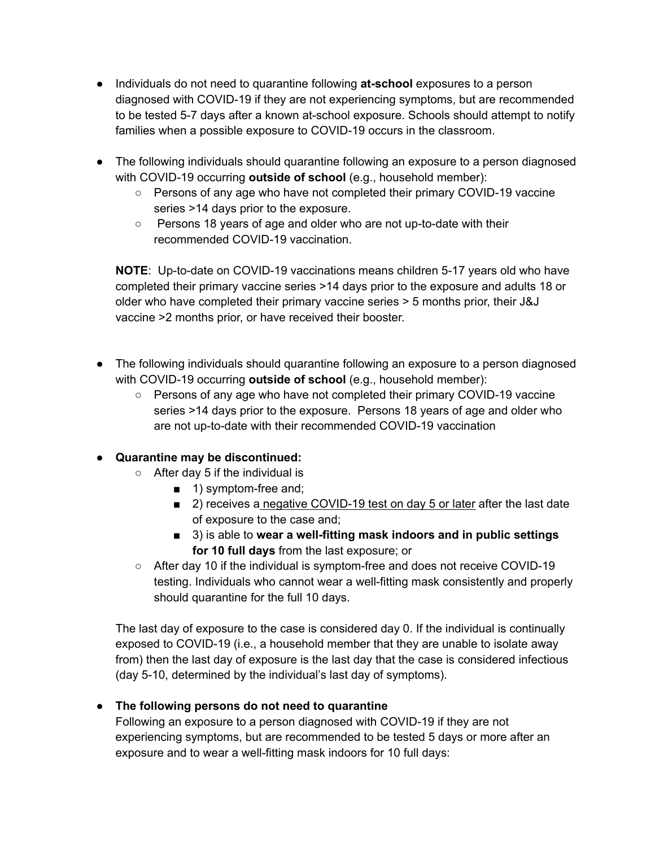- Individuals do not need to quarantine following **at-school** exposures to a person diagnosed with COVID-19 if they are not experiencing symptoms, but are recommended to be tested 5-7 days after a known at-school exposure. Schools should attempt to notify families when a possible exposure to COVID-19 occurs in the classroom.
- The following individuals should quarantine following an exposure to a person diagnosed with COVID-19 occurring **outside of school** (e.g., household member):
	- Persons of any age who have not completed their primary COVID-19 vaccine series >14 days prior to the exposure.
	- Persons 18 years of age and older who are not up-to-date with their recommended COVID-19 vaccination.

**NOTE**: Up-to-date on COVID-19 vaccinations means children 5-17 years old who have completed their primary vaccine series >14 days prior to the exposure and adults 18 or older who have completed their primary vaccine series > 5 months prior, their J&J vaccine >2 months prior, or have received their booster.

- The following individuals should quarantine following an exposure to a person diagnosed with COVID-19 occurring **outside of school** (e.g., household member):
	- Persons of any age who have not completed their primary COVID-19 vaccine series >14 days prior to the exposure. Persons 18 years of age and older who are not up-to-date with their recommended COVID-19 vaccination

# **● Quarantine may be discontinued:**

- **○** After day 5 if the individual is
	- 1) symptom-free and;
	- 2) receives a negative COVID-19 test on day 5 or later after the last date of exposure to the case and;
	- **■** 3) is able to **wear a well-fitting mask indoors and in public settings for 10 full days** from the last exposure; or
- After day 10 if the individual is symptom-free and does not receive COVID-19 testing. Individuals who cannot wear a well-fitting mask consistently and properly should quarantine for the full 10 days.

The last day of exposure to the case is considered day 0. If the individual is continually exposed to COVID-19 (i.e., a household member that they are unable to isolate away from) then the last day of exposure is the last day that the case is considered infectious (day 5-10, determined by the individual's last day of symptoms).

# ● **The following persons do not need to quarantine**

Following an exposure to a person diagnosed with COVID-19 if they are not experiencing symptoms, but are recommended to be tested 5 days or more after an exposure and to wear a well-fitting mask indoors for 10 full days: